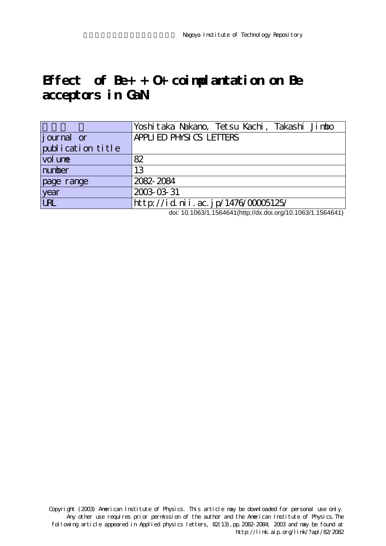## **Effect of Be+ + O+ coimplantation on Be acceptors in GaN**

|                    | Yoshitaka Nakano, Tetsu Kachi, Takashi Jimbo |
|--------------------|----------------------------------------------|
| <i>j</i> ournal or | APPLIED PHYSICS LETTERS                      |
| publication title  |                                              |
| vol une            | 82                                           |
| number             | 13                                           |
| page range         | 2082-2084                                    |
| year               | 2003-03-31                                   |
| URL                | http://id.nii.ac.jp/1476/00005125/           |

doi: 10.1063/1.1564641(http://dx.doi.org/10.1063/1.1564641)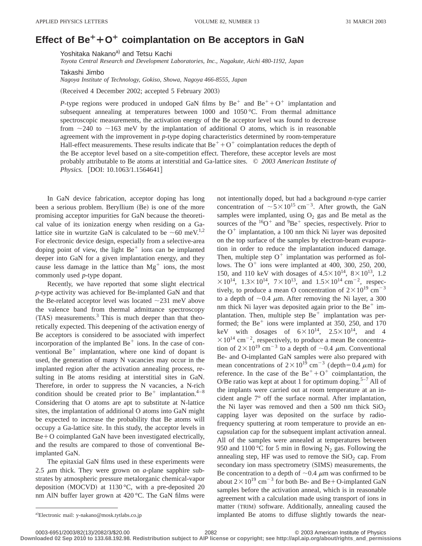## Effect of Be<sup>+</sup>+O<sup>+</sup> coimplantation on Be acceptors in GaN

Yoshitaka Nakano<sup>a)</sup> and Tetsu Kachi

*Toyota Central Research and Development Laboratories, Inc., Nagakute, Aichi 480-1192, Japan*

Takashi Jimbo

*Nagoya Institute of Technology, Gokiso, Showa, Nagoya 466-8555, Japan*

(Received 4 December 2002; accepted 5 February 2003)

*P*-type regions were produced in undoped GaN films by  $Be^+$  and  $Be^+ + O^+$  implantation and subsequent annealing at temperatures between  $1000$  and  $1050$  °C. From thermal admittance spectroscopic measurements, the activation energy of the Be acceptor level was found to decrease from  $\sim$ 240 to  $\sim$ 163 meV by the implantation of additional O atoms, which is in reasonable agreement with the improvement in *p*-type doping characteristics determined by room-temperature Hall-effect measurements. These results indicate that  $Be^+ + O^+$  coimplantation reduces the depth of the Be acceptor level based on a site-competition effect. Therefore, these acceptor levels are most probably attributable to Be atoms at interstitial and Ga-lattice sites. © *2003 American Institute of Physics.* [DOI: 10.1063/1.1564641]

In GaN device fabrication, acceptor doping has long been a serious problem. Beryllium (Be) is one of the more promising acceptor impurities for GaN because the theoretical value of its ionization energy when residing on a Galattice site in wurtzite GaN is calculated to be  $\sim 60$  meV.<sup>1,2</sup> For electronic device design, especially from a selective-area doping point of view, the light  $Be<sup>+</sup>$  ions can be implanted deeper into GaN for a given implantation energy, and they cause less damage in the lattice than  $Mg^+$  ions, the most commonly used *p*-type dopant.

Recently, we have reported that some slight electrical *p*-type activity was achieved for Be-implanted GaN and that the Be-related acceptor level was located  $\sim$ 231 meV above the valence band from thermal admittance spectroscopy  $(TAS)$  measurements.<sup>3</sup> This is much deeper than that theoretically expected. This deepening of the activation energy of Be acceptors is considered to be associated with imperfect incorporation of the implanted  $Be<sup>+</sup>$  ions. In the case of conventional  $Be^+$  implantation, where one kind of dopant is used, the generation of many N vacancies may occur in the implanted region after the activation annealing process, resulting in Be atoms residing at interstitial sites in GaN. Therefore, in order to suppress the N vacancies, a N-rich condition should be created prior to  $Be^+$  implantation.<sup>4–8</sup> Considering that O atoms are apt to substitute at N-lattice sites, the implantation of additional O atoms into GaN might be expected to increase the probability that Be atoms will occupy a Ga-lattice site. In this study, the acceptor levels in  $Be + O$  coimplanted GaN have been investigated electrically, and the results are compared to those of conventional Beimplanted GaN.

The epitaxial GaN films used in these experiments were 2.5  $\mu$ m thick. They were grown on *a*-plane sapphire substrates by atmospheric pressure metalorganic chemical-vapor deposition (MOCVD) at 1130  $^{\circ}$ C, with a pre-deposited 20 nm AlN buffer layer grown at 420 °C. The GaN films were

not intentionally doped, but had a background *n*-type carrier concentration of  $\sim 5 \times 10^{15}$  cm<sup>-3</sup>. After growth, the GaN samples were implanted, using  $O_2$  gas and Be metal as the sources of the  ${}^{16}O^+$  and  ${}^{9}Be^+$  species, respectively. Prior to the  $O^+$  implantation, a 100 nm thick Ni layer was deposited on the top surface of the samples by electron-beam evaporation in order to reduce the implantation induced damage. Then, multiple step  $O^+$  implantation was performed as follows. The  $O^+$  ions were implanted at 400, 300, 250, 200, 150, and 110 keV with dosages of  $4.5 \times 10^{14}$ ,  $8 \times 10^{13}$ , 1.2  $\times 10^{14}$ ,  $1.3\times 10^{14}$ ,  $7\times 10^{13}$ , and  $1.5\times 10^{14}$  cm<sup>-2</sup>, respectively, to produce a mean O concentration of  $2 \times 10^{19}$  cm<sup>-3</sup> to a depth of  $\sim 0.4$   $\mu$ m. After removing the Ni layer, a 300 nm thick Ni layer was deposited again prior to the  $Be<sup>+</sup>$  implantation. Then, multiple step  $Be^+$  implantation was performed; the  $Be<sup>+</sup>$  ions were implanted at 350, 250, and 170 keV with dosages of  $6 \times 10^{14}$ ,  $2.5 \times 10^{14}$ , and 4  $\times 10^{14}$  cm<sup>-2</sup>, respectively, to produce a mean Be concentration of  $2 \times 10^{19}$  cm<sup>-3</sup> to a depth of  $\sim 0.4$   $\mu$ m. Conventional Be- and O-implanted GaN samples were also prepared with mean concentrations of  $2 \times 10^{19}$  cm<sup>-3</sup> (depth=0.4  $\mu$ m) for reference. In the case of the  $Be^{+}+O^{+}$  coimplantation, the O/Be ratio was kept at about 1 for optimum doping.<sup>5-7</sup> All of the implants were carried out at room temperature at an incident angle 7° off the surface normal. After implantation, the Ni layer was removed and then a 500 nm thick  $SiO<sub>2</sub>$ capping layer was deposited on the surface by radiofrequency sputtering at room temperature to provide an encapsulation cap for the subsequent implant activation anneal. All of the samples were annealed at temperatures between 950 and 1100 °C for 5 min in flowing N<sub>2</sub> gas. Following the annealing step, HF was used to remove the  $SiO<sub>2</sub>$  cap. From secondary ion mass spectrometry (SIMS) measurements, the Be concentration to a depth of  $\sim 0.4 \mu$ m was confirmed to be about  $2 \times 10^{19}$  cm<sup>-3</sup> for both Be- and Be+O-implanted GaN samples before the activation anneal, which is in reasonable agreement with a calculation made using transport of ions in matter (TRIM) software. Additionally, annealing caused the implanted Be atoms to diffuse slightly towards the near-

a)Electronic mail: y-nakano@mosk.tytlabs.co.jp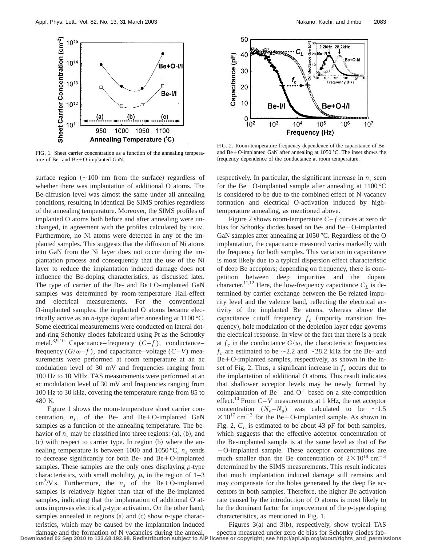

FIG. 1. Sheet carrier concentration as a function of the annealing temperature of Be- and Be+O-implanted GaN.

surface region  $(\sim 100$  nm from the surface) regardless of whether there was implantation of additional O atoms. The Be-diffusion level was almost the same under all annealing conditions, resulting in identical Be SIMS profiles regardless of the annealing temperature. Moreover, the SIMS profiles of implanted O atoms both before and after annealing were unchanged, in agreement with the profiles calculated by TRIM. Furthermore, no Ni atoms were detected in any of the implanted samples. This suggests that the diffusion of Ni atoms into GaN from the Ni layer does not occur during the implantation process and consequently that the use of the Ni layer to reduce the implantation induced damage does not influence the Be-doping characteristics, as discussed later. The type of carrier of the Be- and  $Be+O-<sub>i</sub>$ mplanted GaN samples was determined by room-temperature Hall-effect and electrical measurements. For the conventional O-implanted samples, the implanted O atoms became electrically active as an *n*-type dopant after annealing at 1100 °C. Some electrical measurements were conducted on lateral dotand-ring Schottky diodes fabricated using Pt as the Schottky metal.<sup>3,9,10</sup> Capacitance–frequency  $(C - f)$ , conductance– frequency  $(G/\omega - f)$ , and capacitance–voltage  $(C - V)$  measurements were performed at room temperature at an ac modulation level of 30 mV and frequencies ranging from 100 Hz to 10 MHz. TAS measurements were performed at an ac modulation level of 30 mV and frequencies ranging from 100 Hz to 30 kHz, covering the temperature range from 85 to 480 K.

Figure 1 shows the room-temperature sheet carrier concentration,  $n_s$ , of the Be- and Be+O-implanted GaN samples as a function of the annealing temperature. The behavior of  $n_s$  may be classified into three regions: (a), (b), and  $\alpha$  with respect to carrier type. In region  $\beta$  where the annealing temperature is between 1000 and 1050 °C,  $n_s$  tends to decrease significantly for both Be- and Be $+$ O-implanted samples. These samples are the only ones displaying *p*-type characteristics, with small mobility,  $\mu$ , in the region of 1–3 cm<sup>2</sup>/V s. Furthermore, the  $n<sub>s</sub>$  of the Be+O-implanted samples is relatively higher than that of the Be-implanted samples, indicating that the implantation of additional O atoms improves electrical *p*-type activation. On the other hand, samples annealed in regions  $(a)$  and  $(c)$  show *n*-type characteristics, which may be caused by the implantation induced



FIG. 2. Room-temperature frequency dependence of the capacitance of Beand Be+O-implanted GaN after annealing at 1050 °C. The inset shows the frequency dependence of the conductance at room temperature.

respectively. In particular, the significant increase in  $n<sub>s</sub>$  seen for the Be+O-implanted sample after annealing at  $1100^{\circ}$ C is considered to be due to the combined effect of N-vacancy formation and electrical O-activation induced by hightemperature annealing, as mentioned above.

Figure 2 shows room-temperature  $C - f$  curves at zero dc bias for Schottky diodes based on Be- and Be $+$ O-implanted GaN samples after annealing at 1050 °C. Regardless of the O implantation, the capacitance measured varies markedly with the frequency for both samples. This variation in capacitance is most likely due to a typical dispersion effect characteristic of deep Be acceptors; depending on frequency, there is competition between deep impurities and the dopant character.<sup>11,12</sup> Here, the low-frequency capacitance  $C_L$  is determined by carrier exchange between the Be-related impurity level and the valence band, reflecting the electrical activity of the implanted Be atoms, whereas above the capacitance cutoff frequency  $f_c$  (impurity transition frequency), hole modulation of the depletion layer edge governs the electrical response. In view of the fact that there is a peak at  $f_c$  in the conductance  $G/\omega$ , the characteristic frequencies  $f_c$  are estimated to be  $\sim$  2.2 and  $\sim$  28.2 kHz for the Be- and  $Be+O$ -implanted samples, respectively, as shown in the inset of Fig. 2. Thus, a significant increase in  $f_c$  occurs due to the implantation of additional O atoms. This result indicates that shallower acceptor levels may be newly formed by coimplantation of  $Be^+$  and  $O^+$  based on a site-competition effect.<sup>10</sup> From  $C-V$  measurements at 1 kHz, the net acceptor concentration  $(N_a-N_d)$  was calculated to be  $\sim 1.5$  $\times 10^{17}$  cm<sup>-3</sup> for the Be+O-implanted sample. As shown in Fig. 2,  $C_L$  is estimated to be about 43 pF for both samples, which suggests that the effective acceptor concentration of the Be-implanted sample is at the same level as that of Be 1O-implanted sample. These acceptor concentrations are much smaller than the Be concentration of  $2 \times 10^{19}$  cm<sup>-3</sup> determined by the SIMS measurements. This result indicates that much implantation induced damage still remains and may compensate for the holes generated by the deep Be acceptors in both samples. Therefore, the higher Be activation rate caused by the introduction of O atoms is most likely to be the dominant factor for improvement of the *p*-type doping characteristics, as mentioned in Fig. 1.

damage and the formation of N vacancies during the anneal, Figures  $3(a)$  and  $3(b)$ , respectively, show typical TAS spectra measured under zero dc bias for Schottky diodes fab-**Downloaded 02 Sep 2010 to 133.68.192.98. Redistribution subject to AIP license or copyright; see http://apl.aip.org/about/rights\_and\_permissions**